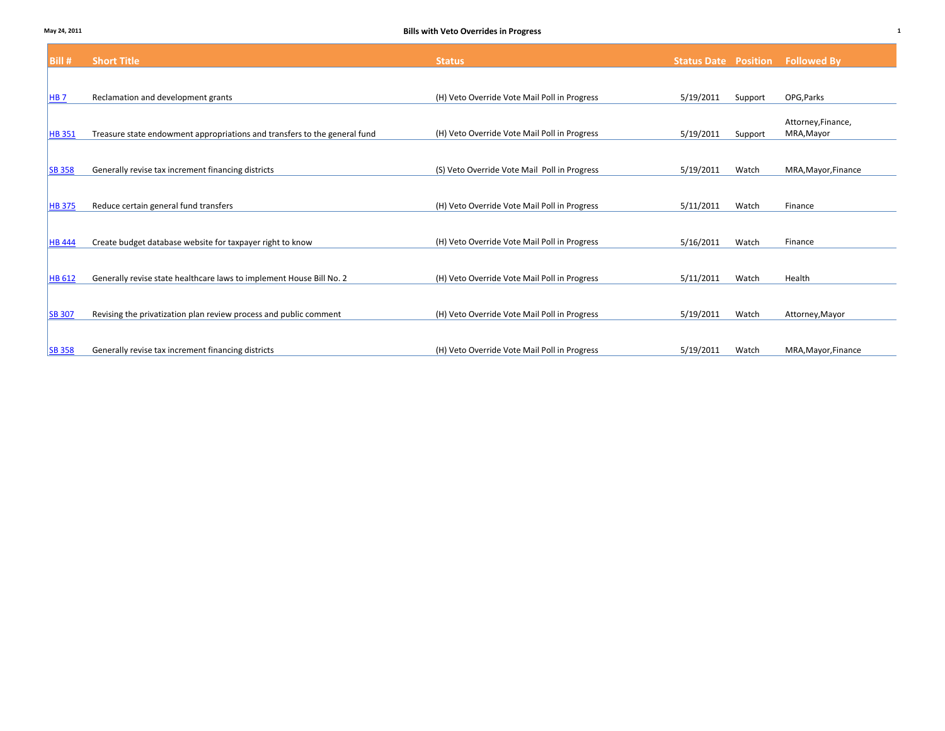| Bill #          | <b>Short Title</b>                                                        | <b>Status</b>                                | <b>Status Date Position</b> |         | <b>Followed By</b>               |
|-----------------|---------------------------------------------------------------------------|----------------------------------------------|-----------------------------|---------|----------------------------------|
|                 |                                                                           |                                              |                             |         |                                  |
| HB <sub>7</sub> | Reclamation and development grants                                        | (H) Veto Override Vote Mail Poll in Progress | 5/19/2011                   | Support | OPG, Parks                       |
| <b>HB 351</b>   | Treasure state endowment appropriations and transfers to the general fund | (H) Veto Override Vote Mail Poll in Progress | 5/19/2011                   | Support | Attorney, Finance,<br>MRA, Mayor |
| <b>SB 358</b>   | Generally revise tax increment financing districts                        | (S) Veto Override Vote Mail Poll in Progress | 5/19/2011                   | Watch   | MRA, Mayor, Finance              |
| <b>HB 375</b>   | Reduce certain general fund transfers                                     | (H) Veto Override Vote Mail Poll in Progress | 5/11/2011                   | Watch   | Finance                          |
| <b>HB</b> 444   | Create budget database website for taxpayer right to know                 | (H) Veto Override Vote Mail Poll in Progress | 5/16/2011                   | Watch   | Finance                          |
| <b>HB 612</b>   | Generally revise state healthcare laws to implement House Bill No. 2      | (H) Veto Override Vote Mail Poll in Progress | 5/11/2011                   | Watch   | Health                           |
|                 |                                                                           |                                              |                             |         |                                  |
| <b>SB 307</b>   | Revising the privatization plan review process and public comment         | (H) Veto Override Vote Mail Poll in Progress | 5/19/2011                   | Watch   | Attorney, Mayor                  |
| <b>SB 358</b>   | Generally revise tax increment financing districts                        | (H) Veto Override Vote Mail Poll in Progress | 5/19/2011                   | Watch   | MRA, Mayor, Finance              |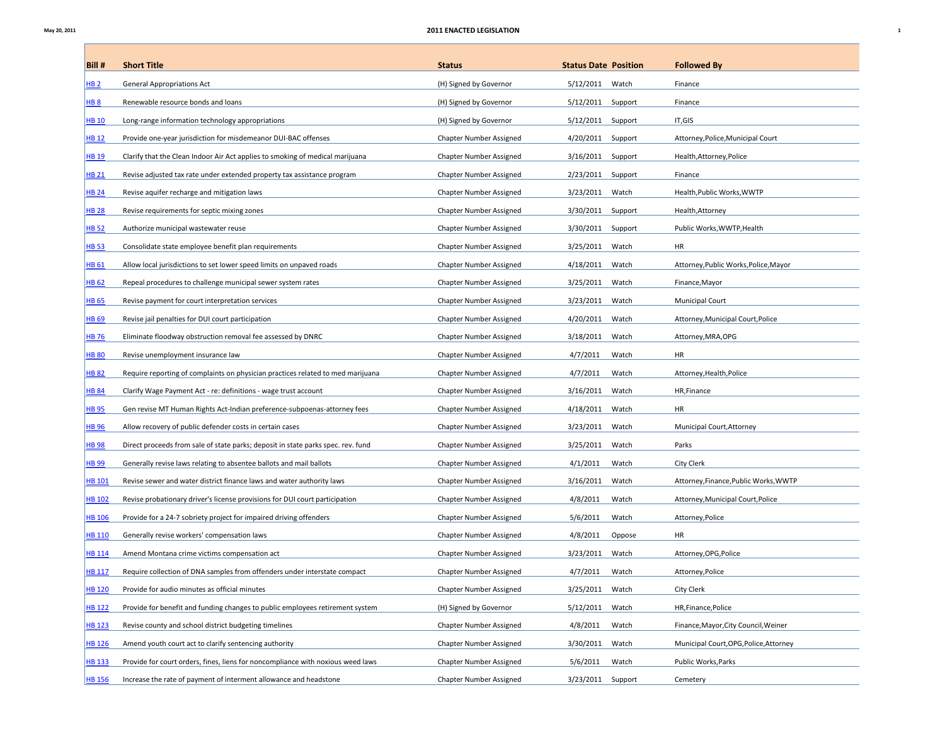Г

| Bill#            | <b>Short Title</b>                                                               | <b>Status</b>           | <b>Status Date Position</b> |         | <b>Followed By</b>                     |
|------------------|----------------------------------------------------------------------------------|-------------------------|-----------------------------|---------|----------------------------------------|
| <b>HB2</b>       | <b>General Appropriations Act</b>                                                | (H) Signed by Governor  | 5/12/2011 Watch             |         | Finance                                |
| <b>HB 8</b>      | Renewable resource bonds and loans                                               | (H) Signed by Governor  | 5/12/2011 Support           |         | Finance                                |
| <b>HB 10</b>     | Long-range information technology appropriations                                 | (H) Signed by Governor  | 5/12/2011                   | Support | IT,GIS                                 |
| <b>HB12</b>      | Provide one-year jurisdiction for misdemeanor DUI-BAC offenses                   | Chapter Number Assigned | 4/20/2011 Support           |         | Attorney, Police, Municipal Court      |
| <b>HB 19</b>     | Clarify that the Clean Indoor Air Act applies to smoking of medical marijuana    | Chapter Number Assigned | 3/16/2011                   | Support | Health, Attorney, Police               |
| <b>HB 21</b>     | Revise adjusted tax rate under extended property tax assistance program          | Chapter Number Assigned | 2/23/2011 Support           |         | Finance                                |
| <b>HB 24</b>     | Revise aquifer recharge and mitigation laws                                      | Chapter Number Assigned | 3/23/2011<br>Watch          |         | Health, Public Works, WWTP             |
| <b>HB 28</b>     | Revise requirements for septic mixing zones                                      | Chapter Number Assigned | 3/30/2011 Support           |         | Health, Attorney                       |
| <b>HB 52</b>     | Authorize municipal wastewater reuse                                             | Chapter Number Assigned | 3/30/2011<br>Support        |         | Public Works, WWTP, Health             |
| HB <sub>53</sub> | Consolidate state employee benefit plan requirements                             | Chapter Number Assigned | 3/25/2011<br>Watch          |         | HR                                     |
| HB 61            | Allow local jurisdictions to set lower speed limits on unpaved roads             | Chapter Number Assigned | 4/18/2011<br>Watch          |         | Attorney, Public Works, Police, Mayor  |
| HB <sub>62</sub> | Repeal procedures to challenge municipal sewer system rates                      | Chapter Number Assigned | 3/25/2011<br>Watch          |         | Finance, Mayor                         |
| <b>HB 65</b>     | Revise payment for court interpretation services                                 | Chapter Number Assigned | 3/23/2011<br>Watch          |         | <b>Municipal Court</b>                 |
| <b>HB 69</b>     | Revise jail penalties for DUI court participation                                | Chapter Number Assigned | 4/20/2011<br>Watch          |         | Attorney, Municipal Court, Police      |
| <b>HB76</b>      | Eliminate floodway obstruction removal fee assessed by DNRC                      | Chapter Number Assigned | 3/18/2011<br>Watch          |         | Attorney, MRA, OPG                     |
| <b>HB 80</b>     | Revise unemployment insurance law                                                | Chapter Number Assigned | 4/7/2011<br>Watch           |         | HR                                     |
| <b>HB 82</b>     | Require reporting of complaints on physician practices related to med marijuana  | Chapter Number Assigned | 4/7/2011<br>Watch           |         | Attorney, Health, Police               |
| <b>HB 84</b>     | Clarify Wage Payment Act - re: definitions - wage trust account                  | Chapter Number Assigned | 3/16/2011<br>Watch          |         | HR, Finance                            |
| <b>HB 95</b>     | Gen revise MT Human Rights Act-Indian preference-subpoenas-attorney fees         | Chapter Number Assigned | 4/18/2011<br>Watch          |         | HR                                     |
| <b>HB 96</b>     | Allow recovery of public defender costs in certain cases                         | Chapter Number Assigned | 3/23/2011<br>Watch          |         | Municipal Court, Attorney              |
| <b>HB 98</b>     | Direct proceeds from sale of state parks; deposit in state parks spec. rev. fund | Chapter Number Assigned | 3/25/2011<br>Watch          |         | Parks                                  |
| <b>HB 99</b>     | Generally revise laws relating to absentee ballots and mail ballots              | Chapter Number Assigned | 4/1/2011<br>Watch           |         | <b>City Clerk</b>                      |
| <b>HB 101</b>    | Revise sewer and water district finance laws and water authority laws            | Chapter Number Assigned | 3/16/2011<br>Watch          |         | Attorney, Finance, Public Works, WWTP  |
| <b>HB 102</b>    | Revise probationary driver's license provisions for DUI court participation      | Chapter Number Assigned | 4/8/2011<br>Watch           |         | Attorney, Municipal Court, Police      |
| <b>HB 106</b>    | Provide for a 24-7 sobriety project for impaired driving offenders               | Chapter Number Assigned | 5/6/2011<br>Watch           |         | Attorney, Police                       |
| <b>HB 110</b>    | Generally revise workers' compensation laws                                      | Chapter Number Assigned | 4/8/2011                    | Oppose  | HR                                     |
| <b>HB 114</b>    | Amend Montana crime victims compensation act                                     | Chapter Number Assigned | 3/23/2011<br>Watch          |         | Attorney, OPG, Police                  |
| <b>HB 117</b>    | Require collection of DNA samples from offenders under interstate compact        | Chapter Number Assigned | 4/7/2011<br>Watch           |         | Attorney, Police                       |
| <b>HB 120</b>    | Provide for audio minutes as official minutes                                    | Chapter Number Assigned | Watch<br>3/25/2011          |         | City Clerk                             |
| <b>HB 122</b>    | Provide for benefit and funding changes to public employees retirement system    | (H) Signed by Governor  | 5/12/2011<br>Watch          |         | HR, Finance, Police                    |
| <b>HB 123</b>    | Revise county and school district budgeting timelines                            | Chapter Number Assigned | 4/8/2011<br>Watch           |         | Finance, Mayor, City Council, Weiner   |
| <b>HB 126</b>    | Amend youth court act to clarify sentencing authority                            | Chapter Number Assigned | Watch<br>3/30/2011          |         | Municipal Court, OPG, Police, Attorney |
| <b>HB 133</b>    | Provide for court orders, fines, liens for noncompliance with noxious weed laws  | Chapter Number Assigned | 5/6/2011<br>Watch           |         | Public Works, Parks                    |
| <b>HB 156</b>    | Increase the rate of payment of interment allowance and headstone                | Chapter Number Assigned | 3/23/2011                   | Support | Cemetery                               |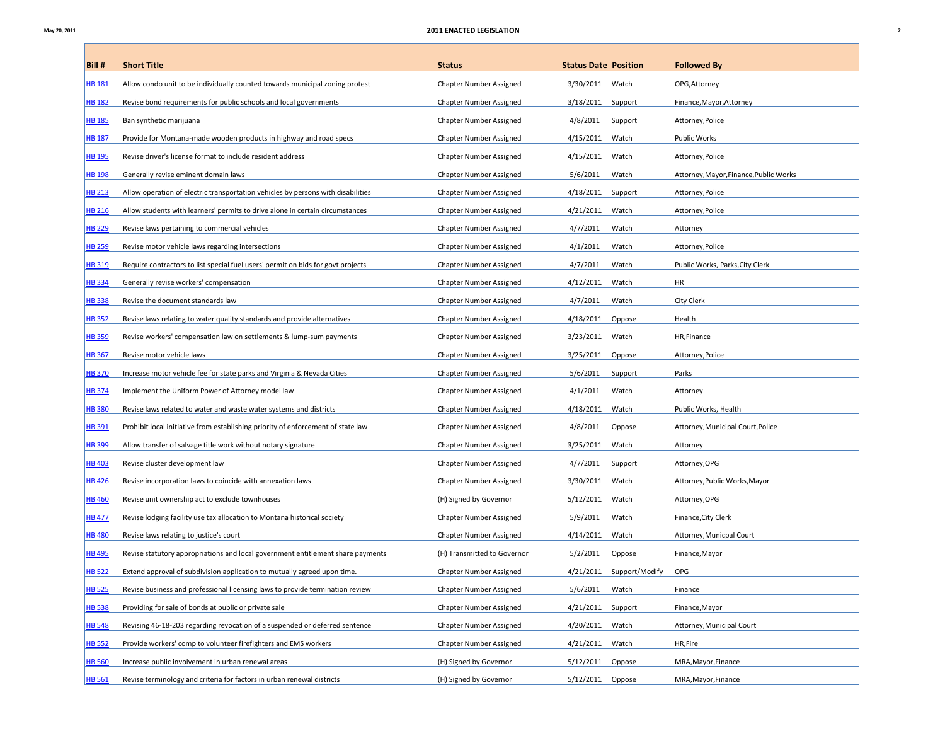Г

| Bill #        | <b>Short Title</b>                                                               | <b>Status</b>               | <b>Status Date Position</b> |                          | <b>Followed By</b>                     |
|---------------|----------------------------------------------------------------------------------|-----------------------------|-----------------------------|--------------------------|----------------------------------------|
| <b>HB 181</b> | Allow condo unit to be individually counted towards municipal zoning protest     | Chapter Number Assigned     | 3/30/2011                   | Watch                    | OPG, Attorney                          |
| <b>HB 182</b> | Revise bond requirements for public schools and local governments                | Chapter Number Assigned     | 3/18/2011                   | Support                  | Finance, Mayor, Attorney               |
| <b>HB 185</b> | Ban synthetic marijuana                                                          | Chapter Number Assigned     | 4/8/2011                    | Support                  | Attorney, Police                       |
| <b>HB 187</b> | Provide for Montana-made wooden products in highway and road specs               | Chapter Number Assigned     | 4/15/2011                   | Watch                    | Public Works                           |
| <b>HB 195</b> | Revise driver's license format to include resident address                       | Chapter Number Assigned     | 4/15/2011                   | Watch                    | Attorney, Police                       |
| <b>HB 198</b> | Generally revise eminent domain laws                                             | Chapter Number Assigned     | 5/6/2011                    | Watch                    | Attorney, Mayor, Finance, Public Works |
| <b>HB 213</b> | Allow operation of electric transportation vehicles by persons with disabilities | Chapter Number Assigned     | 4/18/2011                   | Support                  | Attorney, Police                       |
| <b>HB 216</b> | Allow students with learners' permits to drive alone in certain circumstances    | Chapter Number Assigned     | 4/21/2011                   | Watch                    | Attorney, Police                       |
| <b>HB 229</b> | Revise laws pertaining to commercial vehicles                                    | Chapter Number Assigned     | 4/7/2011                    | Watch                    | Attorney                               |
| <b>HB 259</b> | Revise motor vehicle laws regarding intersections                                | Chapter Number Assigned     | 4/1/2011                    | Watch                    | Attorney, Police                       |
| HB 319        | Require contractors to list special fuel users' permit on bids for govt projects | Chapter Number Assigned     | 4/7/2011                    | Watch                    | Public Works, Parks, City Clerk        |
| <b>HB334</b>  | Generally revise workers' compensation                                           | Chapter Number Assigned     | 4/12/2011                   | Watch                    | HR                                     |
| <b>HB338</b>  | Revise the document standards law                                                | Chapter Number Assigned     | 4/7/2011                    | Watch                    | City Clerk                             |
| <b>HB352</b>  | Revise laws relating to water quality standards and provide alternatives         | Chapter Number Assigned     | 4/18/2011                   | Oppose                   | Health                                 |
| <b>HB359</b>  | Revise workers' compensation law on settlements & lump-sum payments              | Chapter Number Assigned     | 3/23/2011                   | Watch                    | HR, Finance                            |
| <b>HB367</b>  | Revise motor vehicle laws                                                        | Chapter Number Assigned     | 3/25/2011                   | Oppose                   | Attorney, Police                       |
| <b>HB 370</b> | Increase motor vehicle fee for state parks and Virginia & Nevada Cities          | Chapter Number Assigned     | 5/6/2011                    | Support                  | Parks                                  |
| <b>HB374</b>  | Implement the Uniform Power of Attorney model law                                | Chapter Number Assigned     | 4/1/2011                    | Watch                    | Attorney                               |
| <b>HB380</b>  | Revise laws related to water and waste water systems and districts               | Chapter Number Assigned     | 4/18/2011                   | Watch                    | Public Works, Health                   |
| <b>HB391</b>  | Prohibit local initiative from establishing priority of enforcement of state law | Chapter Number Assigned     | 4/8/2011                    | Oppose                   | Attorney, Municipal Court, Police      |
| <b>HB399</b>  | Allow transfer of salvage title work without notary signature                    | Chapter Number Assigned     | 3/25/2011                   | Watch                    | Attorney                               |
| <b>HB403</b>  | Revise cluster development law                                                   | Chapter Number Assigned     | 4/7/2011                    | Support                  | Attorney, OPG                          |
| <b>HB426</b>  | Revise incorporation laws to coincide with annexation laws                       | Chapter Number Assigned     | 3/30/2011                   | Watch                    | Attorney, Public Works, Mayor          |
| <b>HB 460</b> | Revise unit ownership act to exclude townhouses                                  | (H) Signed by Governor      | 5/12/2011                   | Watch                    | Attorney, OPG                          |
| <b>HB477</b>  | Revise lodging facility use tax allocation to Montana historical society         | Chapter Number Assigned     | 5/9/2011                    | Watch                    | Finance, City Clerk                    |
| <b>HB480</b>  | Revise laws relating to justice's court                                          | Chapter Number Assigned     | 4/14/2011                   | Watch                    | Attorney, Municpal Court               |
| <b>HB495</b>  | Revise statutory appropriations and local government entitlement share payments  | (H) Transmitted to Governor | 5/2/2011                    | Oppose                   | Finance, Mayor                         |
| <b>HB 522</b> | Extend approval of subdivision application to mutually agreed upon time.         | Chapter Number Assigned     |                             | 4/21/2011 Support/Modify | OPG                                    |
| <b>HB 525</b> | Revise business and professional licensing laws to provide termination review    | Chapter Number Assigned     | 5/6/2011                    | Watch                    | Finance                                |
| <b>HB 538</b> | Providing for sale of bonds at public or private sale                            | Chapter Number Assigned     | 4/21/2011                   | Support                  | Finance, Mayor                         |
| <b>HB 548</b> | Revising 46-18-203 regarding revocation of a suspended or deferred sentence      | Chapter Number Assigned     | 4/20/2011                   | Watch                    | Attorney, Municipal Court              |
| <b>HB 552</b> | Provide workers' comp to volunteer firefighters and EMS workers                  | Chapter Number Assigned     | 4/21/2011                   | Watch                    | HR, Fire                               |
| <b>HB 560</b> | Increase public involvement in urban renewal areas                               | (H) Signed by Governor      | 5/12/2011                   | Oppose                   | MRA, Mayor, Finance                    |
| <b>HB 561</b> | Revise terminology and criteria for factors in urban renewal districts           | (H) Signed by Governor      | 5/12/2011 Oppose            |                          | MRA, Mayor, Finance                    |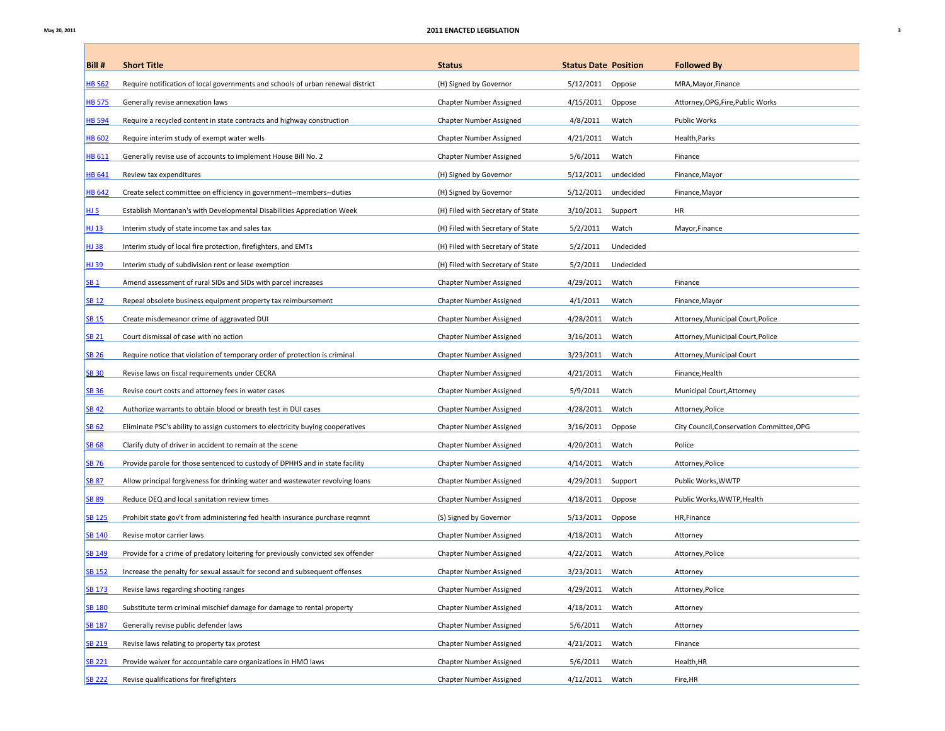$\mathbb{R}^n$ 

| Bill#           | <b>Short Title</b>                                                               | <b>Status</b>                     | <b>Status Date Position</b> |           | <b>Followed By</b>                        |
|-----------------|----------------------------------------------------------------------------------|-----------------------------------|-----------------------------|-----------|-------------------------------------------|
| <b>HB 562</b>   | Require notification of local governments and schools of urban renewal district  | (H) Signed by Governor            | 5/12/2011                   | Oppose    | MRA, Mayor, Finance                       |
| <b>HB 575</b>   | Generally revise annexation laws                                                 | Chapter Number Assigned           | 4/15/2011                   | Oppose    | Attorney, OPG, Fire, Public Works         |
| <b>HB 594</b>   | Require a recycled content in state contracts and highway construction           | Chapter Number Assigned           | 4/8/2011                    | Watch     | Public Works                              |
| <b>HB 602</b>   | Require interim study of exempt water wells                                      | Chapter Number Assigned           | 4/21/2011                   | Watch     | Health, Parks                             |
| <b>HB 611</b>   | Generally revise use of accounts to implement House Bill No. 2                   | Chapter Number Assigned           | 5/6/2011                    | Watch     | Finance                                   |
| <b>HB 641</b>   | Review tax expenditures                                                          | (H) Signed by Governor            | 5/12/2011                   | undecided | Finance, Mayor                            |
| <b>HB 642</b>   | Create select committee on efficiency in government--members--duties             | (H) Signed by Governor            | 5/12/2011                   | undecided | Finance, Mayor                            |
| <b>HJ 5</b>     | Establish Montanan's with Developmental Disabilities Appreciation Week           | (H) Filed with Secretary of State | 3/10/2011                   | Support   | HR                                        |
| HJ 13           | Interim study of state income tax and sales tax                                  | (H) Filed with Secretary of State | 5/2/2011                    | Watch     | Mayor, Finance                            |
| HJ 38           | Interim study of local fire protection, firefighters, and EMTs                   | (H) Filed with Secretary of State | 5/2/2011                    | Undecided |                                           |
| HJ 39           | Interim study of subdivision rent or lease exemption                             | (H) Filed with Secretary of State | 5/2/2011                    | Undecided |                                           |
| SB <sub>1</sub> | Amend assessment of rural SIDs and SIDs with parcel increases                    | Chapter Number Assigned           | 4/29/2011                   | Watch     | Finance                                   |
| <b>SB 12</b>    | Repeal obsolete business equipment property tax reimbursement                    | Chapter Number Assigned           | 4/1/2011                    | Watch     | Finance, Mayor                            |
| <b>SB 15</b>    | Create misdemeanor crime of aggravated DUI                                       | Chapter Number Assigned           | 4/28/2011                   | Watch     | Attorney, Municipal Court, Police         |
| <b>SB 21</b>    | Court dismissal of case with no action                                           | Chapter Number Assigned           | 3/16/2011                   | Watch     | Attorney, Municipal Court, Police         |
| <b>SB 26</b>    | Require notice that violation of temporary order of protection is criminal       | Chapter Number Assigned           | 3/23/2011                   | Watch     | Attorney, Municipal Court                 |
| <b>SB 30</b>    | Revise laws on fiscal requirements under CECRA                                   | Chapter Number Assigned           | 4/21/2011                   | Watch     | Finance, Health                           |
| <b>SB 36</b>    | Revise court costs and attorney fees in water cases                              | Chapter Number Assigned           | 5/9/2011                    | Watch     | Municipal Court, Attorney                 |
| <b>SB42</b>     | Authorize warrants to obtain blood or breath test in DUI cases                   | Chapter Number Assigned           | 4/28/2011                   | Watch     | Attorney, Police                          |
| <b>SB 62</b>    | Eliminate PSC's ability to assign customers to electricity buying cooperatives   | Chapter Number Assigned           | 3/16/2011                   | Oppose    | City Council, Conservation Committee, OPG |
| <b>SB 68</b>    | Clarify duty of driver in accident to remain at the scene                        | Chapter Number Assigned           | 4/20/2011                   | Watch     | Police                                    |
| <b>SB 76</b>    | Provide parole for those sentenced to custody of DPHHS and in state facility     | Chapter Number Assigned           | 4/14/2011                   | Watch     | Attorney, Police                          |
| <b>SB 87</b>    | Allow principal forgiveness for drinking water and wastewater revolving loans    | Chapter Number Assigned           | 4/29/2011                   | Support   | Public Works, WWTP                        |
| <b>SB 89</b>    | Reduce DEQ and local sanitation review times                                     | Chapter Number Assigned           | 4/18/2011                   | Oppose    | Public Works, WWTP, Health                |
| <b>SB 125</b>   | Prohibit state gov't from administering fed health insurance purchase regmnt     | (S) Signed by Governor            | 5/13/2011                   | Oppose    | HR, Finance                               |
| <b>SB 140</b>   | Revise motor carrier laws                                                        | Chapter Number Assigned           | 4/18/2011                   | Watch     | Attorney                                  |
| <b>SB 149</b>   | Provide for a crime of predatory loitering for previously convicted sex offender | Chapter Number Assigned           | 4/22/2011                   | Watch     | Attorney, Police                          |
| <b>SB 152</b>   | Increase the penalty for sexual assault for second and subsequent offenses       | Chapter Number Assigned           | 3/23/2011                   | Watch     | Attorney                                  |
| <b>SB 173</b>   | Revise laws regarding shooting ranges                                            | Chapter Number Assigned           | 4/29/2011                   | Watch     | Attorney, Police                          |
| <b>SB 180</b>   | Substitute term criminal mischief damage for damage to rental property           | Chapter Number Assigned           | 4/18/2011                   | Watch     | Attorney                                  |
| <b>SB 187</b>   | Generally revise public defender laws                                            | Chapter Number Assigned           | 5/6/2011                    | Watch     | Attorney                                  |
| <b>SB 219</b>   | Revise laws relating to property tax protest                                     | Chapter Number Assigned           | 4/21/2011                   | Watch     | Finance                                   |
| <b>SB 221</b>   | Provide waiver for accountable care organizations in HMO laws                    | Chapter Number Assigned           | 5/6/2011                    | Watch     | Health, HR                                |
| <b>SB 222</b>   | Revise qualifications for firefighters                                           | Chapter Number Assigned           | 4/12/2011                   | Watch     | Fire, HR                                  |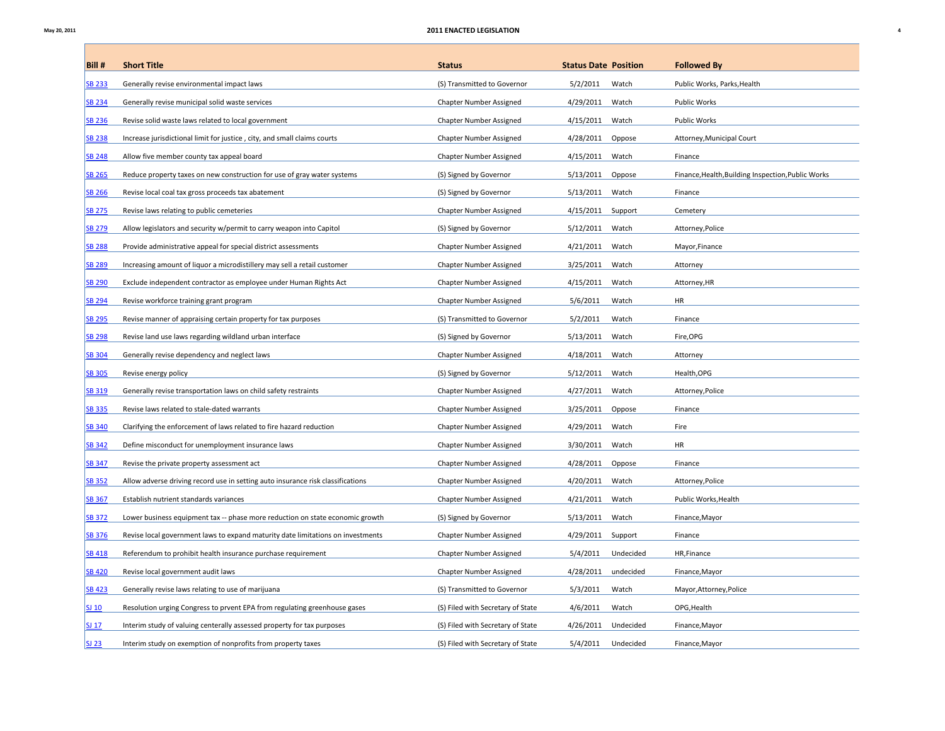Г

| Bill#         | <b>Short Title</b>                                                              | <b>Status</b>                     | <b>Status Date Position</b> | <b>Followed By</b>                                 |
|---------------|---------------------------------------------------------------------------------|-----------------------------------|-----------------------------|----------------------------------------------------|
| <b>SB 233</b> | Generally revise environmental impact laws                                      | (S) Transmitted to Governor       | 5/2/2011<br>Watch           | Public Works, Parks, Health                        |
| <b>SB 234</b> | Generally revise municipal solid waste services                                 | Chapter Number Assigned           | 4/29/2011<br>Watch          | <b>Public Works</b>                                |
| <b>SB 236</b> | Revise solid waste laws related to local government                             | Chapter Number Assigned           | 4/15/2011<br>Watch          | Public Works                                       |
| <b>SB 238</b> | Increase jurisdictional limit for justice, city, and small claims courts        | Chapter Number Assigned           | 4/28/2011<br>Oppose         | Attorney, Municipal Court                          |
| <b>SB 248</b> | Allow five member county tax appeal board                                       | Chapter Number Assigned           | 4/15/2011<br>Watch          | Finance                                            |
| <b>SB 265</b> | Reduce property taxes on new construction for use of gray water systems         | (S) Signed by Governor            | 5/13/2011<br>Oppose         | Finance, Health, Building Inspection, Public Works |
| <b>SB 266</b> | Revise local coal tax gross proceeds tax abatement                              | (S) Signed by Governor            | 5/13/2011<br>Watch          | Finance                                            |
| <b>SB 275</b> | Revise laws relating to public cemeteries                                       | Chapter Number Assigned           | 4/15/2011<br>Support        | Cemetery                                           |
| <b>SB 279</b> | Allow legislators and security w/permit to carry weapon into Capitol            | (S) Signed by Governor            | 5/12/2011<br>Watch          | Attorney, Police                                   |
| <b>SB 288</b> | Provide administrative appeal for special district assessments                  | Chapter Number Assigned           | 4/21/2011<br>Watch          | Mayor, Finance                                     |
| <b>SB 289</b> | Increasing amount of liquor a microdistillery may sell a retail customer        | Chapter Number Assigned           | 3/25/2011<br>Watch          | Attorney                                           |
| <b>SB 290</b> | Exclude independent contractor as employee under Human Rights Act               | Chapter Number Assigned           | 4/15/2011<br>Watch          | Attorney, HR                                       |
| <b>SB 294</b> | Revise workforce training grant program                                         | Chapter Number Assigned           | Watch<br>5/6/2011           | HR                                                 |
| <b>SB 295</b> | Revise manner of appraising certain property for tax purposes                   | (S) Transmitted to Governor       | 5/2/2011<br>Watch           | Finance                                            |
| <b>SB 298</b> | Revise land use laws regarding wildland urban interface                         | (S) Signed by Governor            | 5/13/2011<br>Watch          | Fire, OPG                                          |
| <b>SB 304</b> | Generally revise dependency and neglect laws                                    | Chapter Number Assigned           | 4/18/2011<br>Watch          | Attorney                                           |
| <b>SB 305</b> | Revise energy policy                                                            | (S) Signed by Governor            | 5/12/2011<br>Watch          | Health, OPG                                        |
| SB 319        | Generally revise transportation laws on child safety restraints                 | Chapter Number Assigned           | 4/27/2011<br>Watch          | Attorney, Police                                   |
| <b>SB 335</b> | Revise laws related to stale-dated warrants                                     | Chapter Number Assigned           | 3/25/2011<br>Oppose         | Finance                                            |
| <b>SB 340</b> | Clarifying the enforcement of laws related to fire hazard reduction             | Chapter Number Assigned           | 4/29/2011<br>Watch          | Fire                                               |
| <b>SB 342</b> | Define misconduct for unemployment insurance laws                               | Chapter Number Assigned           | Watch<br>3/30/2011          | <b>HR</b>                                          |
| <b>SB 347</b> | Revise the private property assessment act                                      | Chapter Number Assigned           | 4/28/2011<br>Oppose         | Finance                                            |
| <b>SB 352</b> | Allow adverse driving record use in setting auto insurance risk classifications | Chapter Number Assigned           | Watch<br>4/20/2011          | Attorney, Police                                   |
| <b>SB 367</b> | Establish nutrient standards variances                                          | Chapter Number Assigned           | 4/21/2011<br>Watch          | Public Works, Health                               |
| <b>SB 372</b> | Lower business equipment tax -- phase more reduction on state economic growth   | (S) Signed by Governor            | 5/13/2011<br>Watch          | Finance, Mayor                                     |
| <b>SB 376</b> | Revise local government laws to expand maturity date limitations on investments | Chapter Number Assigned           | 4/29/2011<br>Support        | Finance                                            |
| <b>SB 418</b> | Referendum to prohibit health insurance purchase requirement                    | Chapter Number Assigned           | 5/4/2011<br>Undecided       | HR, Finance                                        |
| <b>SB 420</b> | Revise local government audit laws                                              | Chapter Number Assigned           | 4/28/2011<br>undecided      | Finance, Mayor                                     |
| <b>SB 423</b> | Generally revise laws relating to use of marijuana                              | (S) Transmitted to Governor       | 5/3/2011<br>Watch           | Mayor, Attorney, Police                            |
| SJ 10         | Resolution urging Congress to prvent EPA from regulating greenhouse gases       | (S) Filed with Secretary of State | 4/6/2011<br>Watch           | OPG, Health                                        |
| <b>SJ 17</b>  | Interim study of valuing centerally assessed property for tax purposes          | (S) Filed with Secretary of State | 4/26/2011<br>Undecided      | Finance, Mayor                                     |
| <b>SJ 23</b>  | Interim study on exemption of nonprofits from property taxes                    | (S) Filed with Secretary of State | 5/4/2011<br>Undecided       | Finance, Mayor                                     |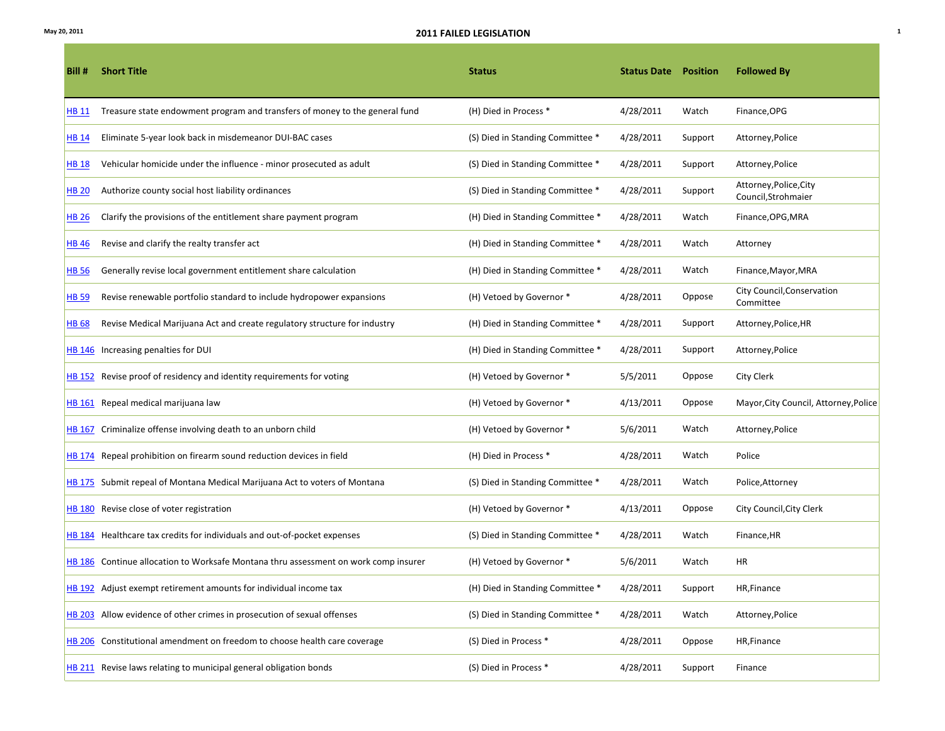| Bill #       | <b>Short Title</b>                                                                  | <b>Status</b>                    | <b>Status Date Position</b> |         | <b>Followed By</b>                            |
|--------------|-------------------------------------------------------------------------------------|----------------------------------|-----------------------------|---------|-----------------------------------------------|
| HB 11        | Treasure state endowment program and transfers of money to the general fund         | (H) Died in Process *            | 4/28/2011                   | Watch   | Finance, OPG                                  |
| <b>HB 14</b> | Eliminate 5-year look back in misdemeanor DUI-BAC cases                             | (S) Died in Standing Committee * | 4/28/2011                   | Support | Attorney, Police                              |
| HB 18        | Vehicular homicide under the influence - minor prosecuted as adult                  | (S) Died in Standing Committee * | 4/28/2011                   | Support | Attorney, Police                              |
| HB 20        | Authorize county social host liability ordinances                                   | (S) Died in Standing Committee * | 4/28/2011                   | Support | Attorney, Police, City<br>Council, Strohmaier |
| <b>HB 26</b> | Clarify the provisions of the entitlement share payment program                     | (H) Died in Standing Committee * | 4/28/2011                   | Watch   | Finance, OPG, MRA                             |
| <b>HB 46</b> | Revise and clarify the realty transfer act                                          | (H) Died in Standing Committee * | 4/28/2011                   | Watch   | Attorney                                      |
| <b>HB 56</b> | Generally revise local government entitlement share calculation                     | (H) Died in Standing Committee * | 4/28/2011                   | Watch   | Finance, Mayor, MRA                           |
| <b>HB 59</b> | Revise renewable portfolio standard to include hydropower expansions                | (H) Vetoed by Governor *         | 4/28/2011                   | Oppose  | City Council, Conservation<br>Committee       |
| HB 68        | Revise Medical Marijuana Act and create regulatory structure for industry           | (H) Died in Standing Committee * | 4/28/2011                   | Support | Attorney, Police, HR                          |
|              | HB 146 Increasing penalties for DUI                                                 | (H) Died in Standing Committee * | 4/28/2011                   | Support | Attorney, Police                              |
|              | HB 152 Revise proof of residency and identity requirements for voting               | (H) Vetoed by Governor *         | 5/5/2011                    | Oppose  | City Clerk                                    |
|              | HB 161 Repeal medical marijuana law                                                 | (H) Vetoed by Governor *         | 4/13/2011                   | Oppose  | Mayor, City Council, Attorney, Police         |
|              | HB 167 Criminalize offense involving death to an unborn child                       | (H) Vetoed by Governor *         | 5/6/2011                    | Watch   | Attorney, Police                              |
|              | HB 174 Repeal prohibition on firearm sound reduction devices in field               | (H) Died in Process *            | 4/28/2011                   | Watch   | Police                                        |
|              | HB 175 Submit repeal of Montana Medical Marijuana Act to voters of Montana          | (S) Died in Standing Committee * | 4/28/2011                   | Watch   | Police, Attorney                              |
|              | HB 180 Revise close of voter registration                                           | (H) Vetoed by Governor *         | 4/13/2011                   | Oppose  | City Council, City Clerk                      |
|              | HB 184 Healthcare tax credits for individuals and out-of-pocket expenses            | (S) Died in Standing Committee * | 4/28/2011                   | Watch   | Finance, HR                                   |
|              | HB 186 Continue allocation to Worksafe Montana thru assessment on work comp insurer | (H) Vetoed by Governor *         | 5/6/2011                    | Watch   | HR                                            |
|              | HB 192 Adjust exempt retirement amounts for individual income tax                   | (H) Died in Standing Committee * | 4/28/2011                   | Support | HR, Finance                                   |
|              | HB 203 Allow evidence of other crimes in prosecution of sexual offenses             | (S) Died in Standing Committee * | 4/28/2011                   | Watch   | Attorney, Police                              |
|              | HB 206 Constitutional amendment on freedom to choose health care coverage           | (S) Died in Process *            | 4/28/2011                   | Oppose  | HR, Finance                                   |
|              | HB 211 Revise laws relating to municipal general obligation bonds                   | (S) Died in Process *            | 4/28/2011                   | Support | Finance                                       |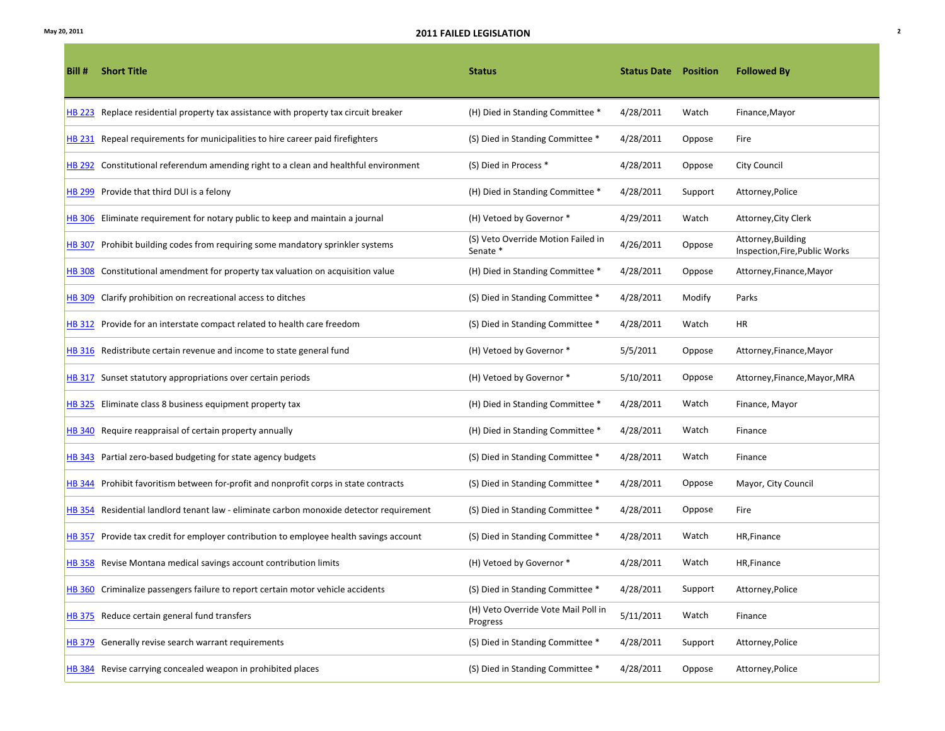| Bill # | <b>Short Title</b>                                                                      | <b>Status</b>                                   | <b>Status Date Position</b> |         | <b>Followed By</b>                                   |
|--------|-----------------------------------------------------------------------------------------|-------------------------------------------------|-----------------------------|---------|------------------------------------------------------|
|        | HB 223 Replace residential property tax assistance with property tax circuit breaker    | (H) Died in Standing Committee *                | 4/28/2011                   | Watch   | Finance, Mayor                                       |
|        | HB 231 Repeal requirements for municipalities to hire career paid firefighters          | (S) Died in Standing Committee *                | 4/28/2011                   | Oppose  | Fire                                                 |
|        | HB 292 Constitutional referendum amending right to a clean and healthful environment    | (S) Died in Process *                           | 4/28/2011                   | Oppose  | City Council                                         |
|        | HB 299 Provide that third DUI is a felony                                               | (H) Died in Standing Committee *                | 4/28/2011                   | Support | Attorney, Police                                     |
|        | HB 306 Eliminate requirement for notary public to keep and maintain a journal           | (H) Vetoed by Governor *                        | 4/29/2011                   | Watch   | Attorney, City Clerk                                 |
|        | HB 307 Prohibit building codes from requiring some mandatory sprinkler systems          | (S) Veto Override Motion Failed in<br>Senate *  | 4/26/2011                   | Oppose  | Attorney, Building<br>Inspection, Fire, Public Works |
|        | HB 308 Constitutional amendment for property tax valuation on acquisition value         | (H) Died in Standing Committee *                | 4/28/2011                   | Oppose  | Attorney, Finance, Mayor                             |
|        | HB 309 Clarify prohibition on recreational access to ditches                            | (S) Died in Standing Committee *                | 4/28/2011                   | Modify  | Parks                                                |
|        | HB 312 Provide for an interstate compact related to health care freedom                 | (S) Died in Standing Committee *                | 4/28/2011                   | Watch   | HR                                                   |
|        | <b>HB 316</b> Redistribute certain revenue and income to state general fund             | (H) Vetoed by Governor *                        | 5/5/2011                    | Oppose  | Attorney, Finance, Mayor                             |
|        | HB 317 Sunset statutory appropriations over certain periods                             | (H) Vetoed by Governor *                        | 5/10/2011                   | Oppose  | Attorney, Finance, Mayor, MRA                        |
|        | HB 325 Eliminate class 8 business equipment property tax                                | (H) Died in Standing Committee *                | 4/28/2011                   | Watch   | Finance, Mayor                                       |
|        | HB 340 Require reappraisal of certain property annually                                 | (H) Died in Standing Committee *                | 4/28/2011                   | Watch   | Finance                                              |
|        | HB 343 Partial zero-based budgeting for state agency budgets                            | (S) Died in Standing Committee *                | 4/28/2011                   | Watch   | Finance                                              |
|        | HB 344 Prohibit favoritism between for-profit and nonprofit corps in state contracts    | (S) Died in Standing Committee *                | 4/28/2011                   | Oppose  | Mayor, City Council                                  |
|        | HB 354 Residential landlord tenant law - eliminate carbon monoxide detector requirement | (S) Died in Standing Committee *                | 4/28/2011                   | Oppose  | Fire                                                 |
|        | HB 357 Provide tax credit for employer contribution to employee health savings account  | (S) Died in Standing Committee *                | 4/28/2011                   | Watch   | HR, Finance                                          |
|        | HB 358 Revise Montana medical savings account contribution limits                       | (H) Vetoed by Governor *                        | 4/28/2011                   | Watch   | HR, Finance                                          |
|        | HB 360 Criminalize passengers failure to report certain motor vehicle accidents         | (S) Died in Standing Committee *                | 4/28/2011                   | Support | Attorney, Police                                     |
|        | HB 375 Reduce certain general fund transfers                                            | (H) Veto Override Vote Mail Poll in<br>Progress | 5/11/2011                   | Watch   | Finance                                              |
|        | HB 379 Generally revise search warrant requirements                                     | (S) Died in Standing Committee *                | 4/28/2011                   | Support | Attorney, Police                                     |
|        | HB 384 Revise carrying concealed weapon in prohibited places                            | (S) Died in Standing Committee *                | 4/28/2011                   | Oppose  | Attorney, Police                                     |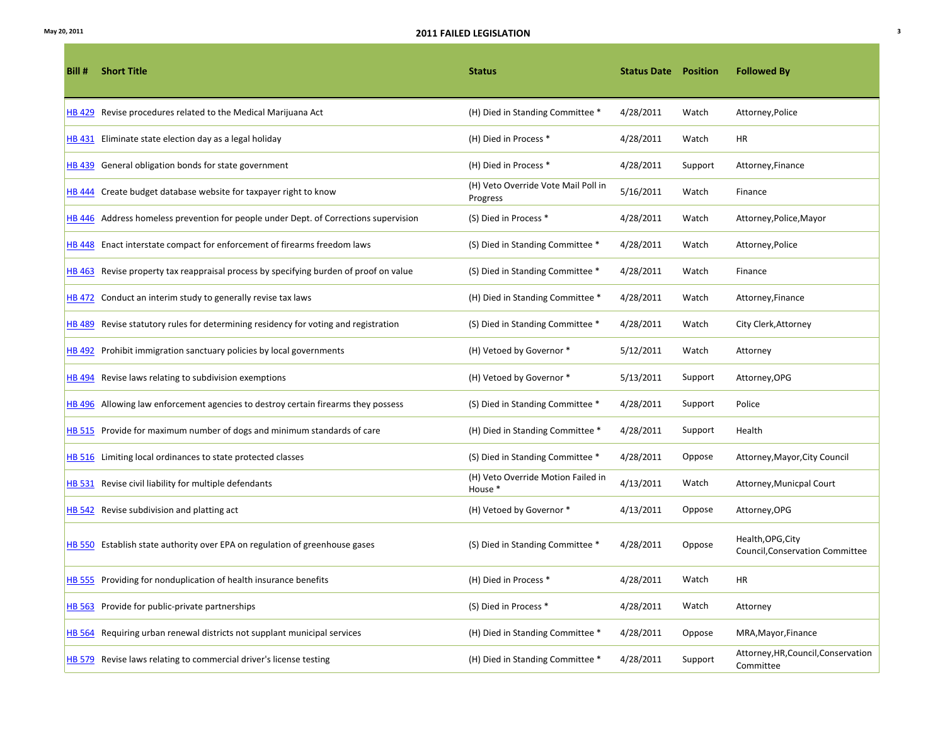| Bill # | <b>Short Title</b>                                                                    | <b>Status</b>                                   | <b>Status Date Position</b> |         | <b>Followed By</b>                                          |
|--------|---------------------------------------------------------------------------------------|-------------------------------------------------|-----------------------------|---------|-------------------------------------------------------------|
|        | HB 429 Revise procedures related to the Medical Marijuana Act                         | (H) Died in Standing Committee *                | 4/28/2011                   | Watch   | Attorney, Police                                            |
|        | HB 431 Eliminate state election day as a legal holiday                                | (H) Died in Process *                           | 4/28/2011                   | Watch   | HR                                                          |
|        | <b>HB 439</b> General obligation bonds for state government                           | (H) Died in Process *                           | 4/28/2011                   | Support | Attorney, Finance                                           |
|        | HB 444 Create budget database website for taxpayer right to know                      | (H) Veto Override Vote Mail Poll in<br>Progress | 5/16/2011                   | Watch   | Finance                                                     |
|        | HB 446 Address homeless prevention for people under Dept. of Corrections supervision  | (S) Died in Process *                           | 4/28/2011                   | Watch   | Attorney, Police, Mayor                                     |
|        | HB 448 Enact interstate compact for enforcement of firearms freedom laws              | (S) Died in Standing Committee *                | 4/28/2011                   | Watch   | Attorney, Police                                            |
|        | HB 463 Revise property tax reappraisal process by specifying burden of proof on value | (S) Died in Standing Committee *                | 4/28/2011                   | Watch   | Finance                                                     |
|        | HB 472 Conduct an interim study to generally revise tax laws                          | (H) Died in Standing Committee *                | 4/28/2011                   | Watch   | Attorney, Finance                                           |
|        | HB 489 Revise statutory rules for determining residency for voting and registration   | (S) Died in Standing Committee *                | 4/28/2011                   | Watch   | City Clerk, Attorney                                        |
|        | HB 492 Prohibit immigration sanctuary policies by local governments                   | (H) Vetoed by Governor *                        | 5/12/2011                   | Watch   | Attorney                                                    |
|        | HB 494 Revise laws relating to subdivision exemptions                                 | (H) Vetoed by Governor *                        | 5/13/2011                   | Support | Attorney, OPG                                               |
|        | HB 496 Allowing law enforcement agencies to destroy certain firearms they possess     | (S) Died in Standing Committee *                | 4/28/2011                   | Support | Police                                                      |
|        | HB 515 Provide for maximum number of dogs and minimum standards of care               | (H) Died in Standing Committee *                | 4/28/2011                   | Support | Health                                                      |
|        | HB 516 Limiting local ordinances to state protected classes                           | (S) Died in Standing Committee *                | 4/28/2011                   | Oppose  | Attorney, Mayor, City Council                               |
|        | HB 531 Revise civil liability for multiple defendants                                 | (H) Veto Override Motion Failed in<br>House *   | 4/13/2011                   | Watch   | Attorney, Municpal Court                                    |
|        | HB 542 Revise subdivision and platting act                                            | (H) Vetoed by Governor *                        | 4/13/2011                   | Oppose  | Attorney, OPG                                               |
|        | HB 550 Establish state authority over EPA on regulation of greenhouse gases           | (S) Died in Standing Committee *                | 4/28/2011                   | Oppose  | Health, OPG, City<br><b>Council, Conservation Committee</b> |
|        | <b>HB 555</b> Providing for nonduplication of health insurance benefits               | (H) Died in Process *                           | 4/28/2011                   | Watch   | HR                                                          |
|        | HB 563 Provide for public-private partnerships                                        | (S) Died in Process *                           | 4/28/2011                   | Watch   | Attorney                                                    |
|        | HB 564 Requiring urban renewal districts not supplant municipal services              | (H) Died in Standing Committee *                | 4/28/2011                   | Oppose  | MRA, Mayor, Finance                                         |
|        | HB 579 Revise laws relating to commercial driver's license testing                    | (H) Died in Standing Committee *                | 4/28/2011                   | Support | Attorney, HR, Council, Conservation<br>Committee            |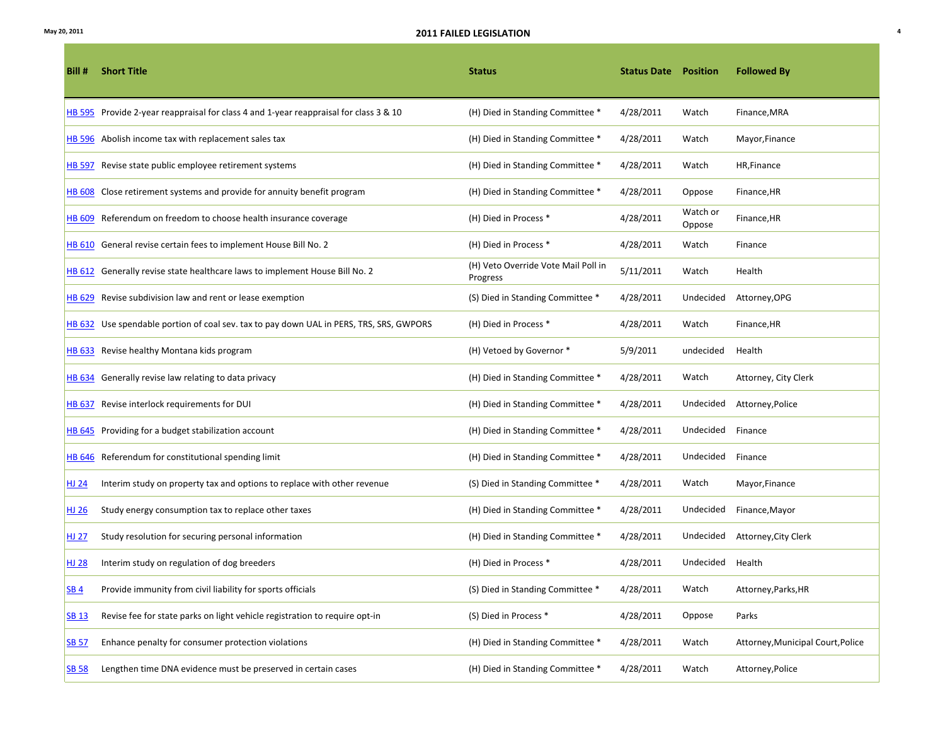| Bill #          | <b>Short Title</b>                                                                      | <b>Status</b>                                   | <b>Status Date Position</b> |                    | <b>Followed By</b>                |
|-----------------|-----------------------------------------------------------------------------------------|-------------------------------------------------|-----------------------------|--------------------|-----------------------------------|
|                 | HB 595 Provide 2-year reappraisal for class 4 and 1-year reappraisal for class 3 & 10   | (H) Died in Standing Committee *                | 4/28/2011                   | Watch              | Finance, MRA                      |
|                 | HB 596 Abolish income tax with replacement sales tax                                    | (H) Died in Standing Committee *                | 4/28/2011                   | Watch              | Mayor, Finance                    |
|                 | HB 597 Revise state public employee retirement systems                                  | (H) Died in Standing Committee *                | 4/28/2011                   | Watch              | HR, Finance                       |
|                 | HB 608 Close retirement systems and provide for annuity benefit program                 | (H) Died in Standing Committee *                | 4/28/2011                   | Oppose             | Finance, HR                       |
|                 | HB 609 Referendum on freedom to choose health insurance coverage                        | (H) Died in Process *                           | 4/28/2011                   | Watch or<br>Oppose | Finance, HR                       |
|                 | HB 610 General revise certain fees to implement House Bill No. 2                        | (H) Died in Process *                           | 4/28/2011                   | Watch              | Finance                           |
|                 | HB 612 Generally revise state healthcare laws to implement House Bill No. 2             | (H) Veto Override Vote Mail Poll in<br>Progress | 5/11/2011                   | Watch              | Health                            |
|                 | HB 629 Revise subdivision law and rent or lease exemption                               | (S) Died in Standing Committee *                | 4/28/2011                   | Undecided          | Attorney, OPG                     |
|                 | HB 632 Use spendable portion of coal sev. tax to pay down UAL in PERS, TRS, SRS, GWPORS | (H) Died in Process *                           | 4/28/2011                   | Watch              | Finance, HR                       |
|                 | HB 633 Revise healthy Montana kids program                                              | (H) Vetoed by Governor *                        | 5/9/2011                    | undecided          | Health                            |
|                 | HB 634 Generally revise law relating to data privacy                                    | (H) Died in Standing Committee *                | 4/28/2011                   | Watch              | Attorney, City Clerk              |
|                 | HB 637 Revise interlock requirements for DUI                                            | (H) Died in Standing Committee *                | 4/28/2011                   | Undecided          | Attorney, Police                  |
|                 | HB 645 Providing for a budget stabilization account                                     | (H) Died in Standing Committee *                | 4/28/2011                   | Undecided          | Finance                           |
|                 | HB 646 Referendum for constitutional spending limit                                     | (H) Died in Standing Committee *                | 4/28/2011                   | Undecided          | Finance                           |
| HJ24            | Interim study on property tax and options to replace with other revenue                 | (S) Died in Standing Committee *                | 4/28/2011                   | Watch              | Mayor, Finance                    |
| HJ 26           | Study energy consumption tax to replace other taxes                                     | (H) Died in Standing Committee *                | 4/28/2011                   | Undecided          | Finance, Mayor                    |
| HJ 27           | Study resolution for securing personal information                                      | (H) Died in Standing Committee *                | 4/28/2011                   | Undecided          | Attorney, City Clerk              |
| <u>HJ 28</u>    | Interim study on regulation of dog breeders                                             | (H) Died in Process *                           | 4/28/2011                   | Undecided          | Health                            |
| SB <sub>4</sub> | Provide immunity from civil liability for sports officials                              | (S) Died in Standing Committee *                | 4/28/2011                   | Watch              | Attorney, Parks, HR               |
| <b>SB 13</b>    | Revise fee for state parks on light vehicle registration to require opt-in              | (S) Died in Process *                           | 4/28/2011                   | Oppose             | Parks                             |
| <b>SB 57</b>    | Enhance penalty for consumer protection violations                                      | (H) Died in Standing Committee *                | 4/28/2011                   | Watch              | Attorney, Municipal Court, Police |
| <b>SB 58</b>    | Lengthen time DNA evidence must be preserved in certain cases                           | (H) Died in Standing Committee *                | 4/28/2011                   | Watch              | Attorney, Police                  |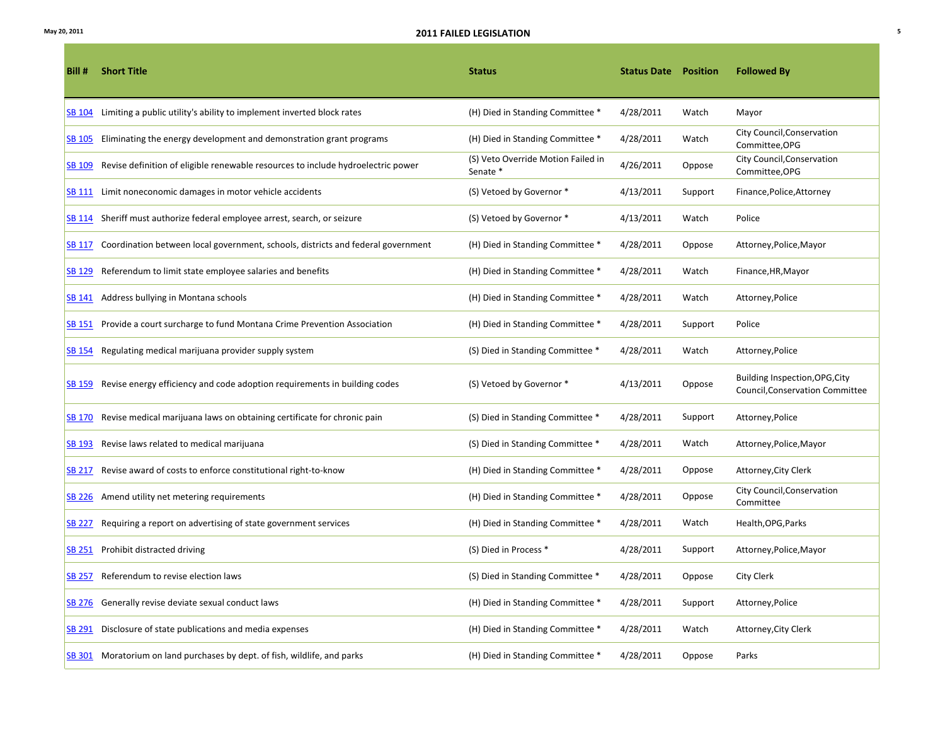| Bill #        | <b>Short Title</b>                                                                      | <b>Status</b>                                  | <b>Status Date</b> Position |         | <b>Followed By</b>                                                       |
|---------------|-----------------------------------------------------------------------------------------|------------------------------------------------|-----------------------------|---------|--------------------------------------------------------------------------|
|               | SB 104 Limiting a public utility's ability to implement inverted block rates            | (H) Died in Standing Committee *               | 4/28/2011                   | Watch   | Mayor                                                                    |
| <b>SB 105</b> | Eliminating the energy development and demonstration grant programs                     | (H) Died in Standing Committee *               | 4/28/2011                   | Watch   | City Council, Conservation<br>Committee, OPG                             |
| SB 109        | Revise definition of eligible renewable resources to include hydroelectric power        | (S) Veto Override Motion Failed in<br>Senate * | 4/26/2011                   | Oppose  | City Council, Conservation<br>Committee, OPG                             |
| <b>SB 111</b> | Limit noneconomic damages in motor vehicle accidents                                    | (S) Vetoed by Governor *                       | 4/13/2011                   | Support | Finance, Police, Attorney                                                |
|               | SB 114 Sheriff must authorize federal employee arrest, search, or seizure               | (S) Vetoed by Governor *                       | 4/13/2011                   | Watch   | Police                                                                   |
|               | SB 117 Coordination between local government, schools, districts and federal government | (H) Died in Standing Committee *               | 4/28/2011                   | Oppose  | Attorney, Police, Mayor                                                  |
|               | SB 129 Referendum to limit state employee salaries and benefits                         | (H) Died in Standing Committee *               | 4/28/2011                   | Watch   | Finance, HR, Mayor                                                       |
|               | SB 141 Address bullying in Montana schools                                              | (H) Died in Standing Committee *               | 4/28/2011                   | Watch   | Attorney, Police                                                         |
|               | SB 151 Provide a court surcharge to fund Montana Crime Prevention Association           | (H) Died in Standing Committee *               | 4/28/2011                   | Support | Police                                                                   |
| <b>SB 154</b> | Regulating medical marijuana provider supply system                                     | (S) Died in Standing Committee *               | 4/28/2011                   | Watch   | Attorney, Police                                                         |
| <b>SB 159</b> | Revise energy efficiency and code adoption requirements in building codes               | (S) Vetoed by Governor *                       | 4/13/2011                   | Oppose  | Building Inspection, OPG, City<br><b>Council, Conservation Committee</b> |
|               | SB 170 Revise medical marijuana laws on obtaining certificate for chronic pain          | (S) Died in Standing Committee *               | 4/28/2011                   | Support | Attorney, Police                                                         |
|               | SB 193 Revise laws related to medical marijuana                                         | (S) Died in Standing Committee *               | 4/28/2011                   | Watch   | Attorney, Police, Mayor                                                  |
| <b>SB 217</b> | Revise award of costs to enforce constitutional right-to-know                           | (H) Died in Standing Committee *               | 4/28/2011                   | Oppose  | Attorney, City Clerk                                                     |
|               | SB 226 Amend utility net metering requirements                                          | (H) Died in Standing Committee *               | 4/28/2011                   | Oppose  | City Council, Conservation<br>Committee                                  |
| <b>SB 227</b> | Requiring a report on advertising of state government services                          | (H) Died in Standing Committee *               | 4/28/2011                   | Watch   | Health, OPG, Parks                                                       |
|               | SB 251 Prohibit distracted driving                                                      | (S) Died in Process *                          | 4/28/2011                   | Support | Attorney, Police, Mayor                                                  |
| <b>SB 257</b> | Referendum to revise election laws                                                      | (S) Died in Standing Committee *               | 4/28/2011                   | Oppose  | City Clerk                                                               |
|               | SB 276 Generally revise deviate sexual conduct laws                                     | (H) Died in Standing Committee *               | 4/28/2011                   | Support | Attorney, Police                                                         |
| SB 291        | Disclosure of state publications and media expenses                                     | (H) Died in Standing Committee *               | 4/28/2011                   | Watch   | Attorney, City Clerk                                                     |
|               | SB 301 Moratorium on land purchases by dept. of fish, wildlife, and parks               | (H) Died in Standing Committee *               | 4/28/2011                   | Oppose  | Parks                                                                    |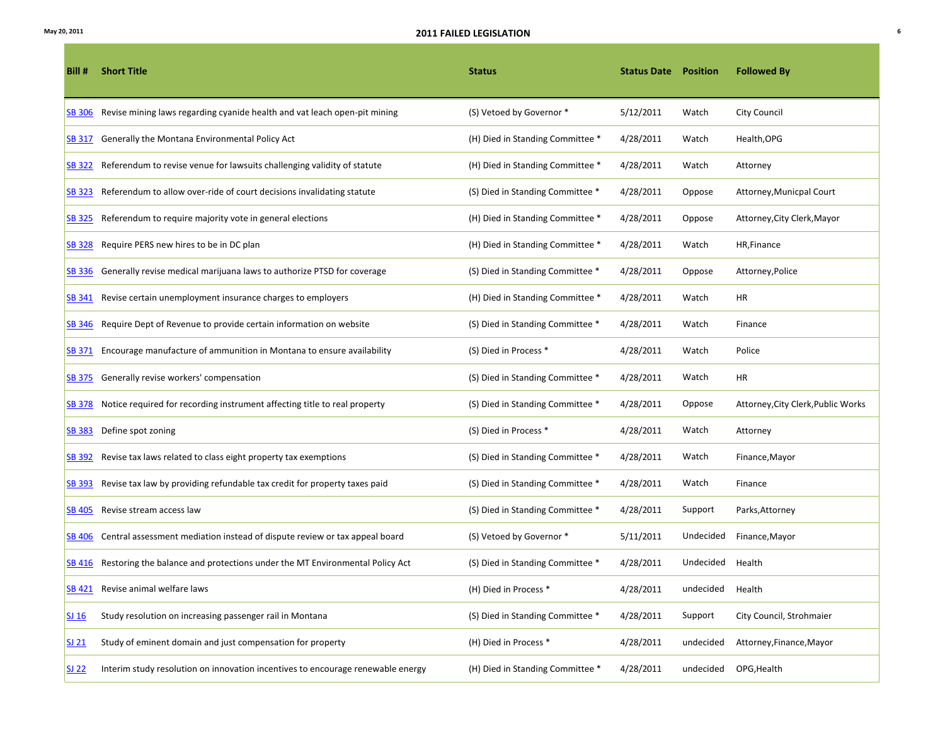| Bill#            | <b>Short Title</b>                                                                 | <b>Status</b>                    | <b>Status Date Position</b> |                  | <b>Followed By</b>                 |
|------------------|------------------------------------------------------------------------------------|----------------------------------|-----------------------------|------------------|------------------------------------|
| <b>SB 306</b>    | Revise mining laws regarding cyanide health and vat leach open-pit mining          | (S) Vetoed by Governor *         | 5/12/2011                   | Watch            | <b>City Council</b>                |
|                  | SB 317 Generally the Montana Environmental Policy Act                              | (H) Died in Standing Committee * | 4/28/2011                   | Watch            | Health, OPG                        |
| <b>SB 322</b>    | Referendum to revise venue for lawsuits challenging validity of statute            | (H) Died in Standing Committee * | 4/28/2011                   | Watch            | Attorney                           |
| <b>SB 323</b>    | Referendum to allow over-ride of court decisions invalidating statute              | (S) Died in Standing Committee * | 4/28/2011                   | Oppose           | Attorney, Municpal Court           |
| <b>SB 325</b>    | Referendum to require majority vote in general elections                           | (H) Died in Standing Committee * | 4/28/2011                   | Oppose           | Attorney, City Clerk, Mayor        |
| <b>SB 328</b>    | Require PERS new hires to be in DC plan                                            | (H) Died in Standing Committee * | 4/28/2011                   | Watch            | HR, Finance                        |
|                  | SB 336 Generally revise medical marijuana laws to authorize PTSD for coverage      | (S) Died in Standing Committee * | 4/28/2011                   | Oppose           | Attorney, Police                   |
|                  | SB 341 Revise certain unemployment insurance charges to employers                  | (H) Died in Standing Committee * | 4/28/2011                   | Watch            | HR                                 |
| SB 346           | Require Dept of Revenue to provide certain information on website                  | (S) Died in Standing Committee * | 4/28/2011                   | Watch            | Finance                            |
| SB 371           | Encourage manufacture of ammunition in Montana to ensure availability              | (S) Died in Process *            | 4/28/2011                   | Watch            | Police                             |
|                  | SB 375 Generally revise workers' compensation                                      | (S) Died in Standing Committee * | 4/28/2011                   | Watch            | HR                                 |
| <b>SB 378</b>    | Notice required for recording instrument affecting title to real property          | (S) Died in Standing Committee * | 4/28/2011                   | Oppose           | Attorney, City Clerk, Public Works |
| <b>SB 383</b>    | Define spot zoning                                                                 | (S) Died in Process *            | 4/28/2011                   | Watch            | Attorney                           |
| <b>SB 392</b>    | Revise tax laws related to class eight property tax exemptions                     | (S) Died in Standing Committee * | 4/28/2011                   | Watch            | Finance, Mayor                     |
| <b>SB 393</b>    | Revise tax law by providing refundable tax credit for property taxes paid          | (S) Died in Standing Committee * | 4/28/2011                   | Watch            | Finance                            |
|                  | SB 405 Revise stream access law                                                    | (S) Died in Standing Committee * | 4/28/2011                   | Support          | Parks, Attorney                    |
| SB 406           | Central assessment mediation instead of dispute review or tax appeal board         | (S) Vetoed by Governor *         | 5/11/2011                   | Undecided        | Finance, Mayor                     |
|                  | SB 416 Restoring the balance and protections under the MT Environmental Policy Act | (S) Died in Standing Committee * | 4/28/2011                   | Undecided        | Health                             |
|                  | SB 421 Revise animal welfare laws                                                  | (H) Died in Process *            | 4/28/2011                   | undecided Health |                                    |
| SI <sub>16</sub> | Study resolution on increasing passenger rail in Montana                           | (S) Died in Standing Committee * | 4/28/2011                   | Support          | City Council, Strohmaier           |
| SJ 21            | Study of eminent domain and just compensation for property                         | (H) Died in Process *            | 4/28/2011                   | undecided        | Attorney, Finance, Mayor           |
| SI <sub>22</sub> | Interim study resolution on innovation incentives to encourage renewable energy    | (H) Died in Standing Committee * | 4/28/2011                   | undecided        | OPG, Health                        |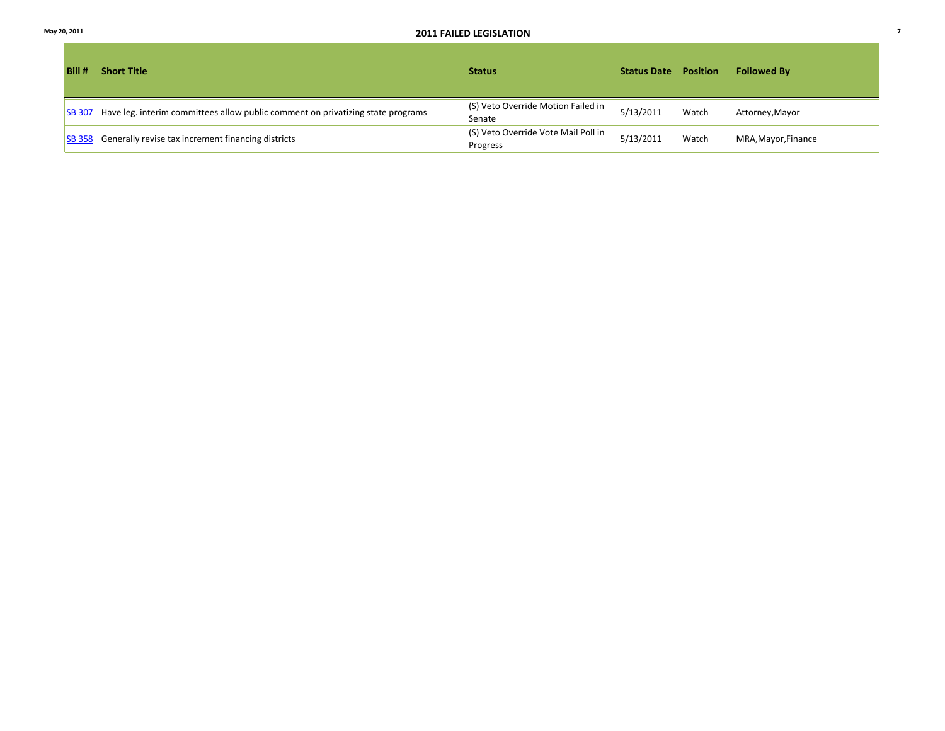| Bill #        | <b>Short Title</b>                                                                     | <b>Status</b>                                   | <b>Status Date</b> | <b>Position</b> | <b>Followed By</b>  |
|---------------|----------------------------------------------------------------------------------------|-------------------------------------------------|--------------------|-----------------|---------------------|
|               | SB 307 Have leg. interim committees allow public comment on privatizing state programs | (S) Veto Override Motion Failed in<br>Senate    | 5/13/2011          | Watch           | Attorney, Mayor     |
| <b>SB 358</b> | Generally revise tax increment financing districts                                     | (S) Veto Override Vote Mail Poll in<br>Progress | 5/13/2011          | Watch           | MRA, Mayor, Finance |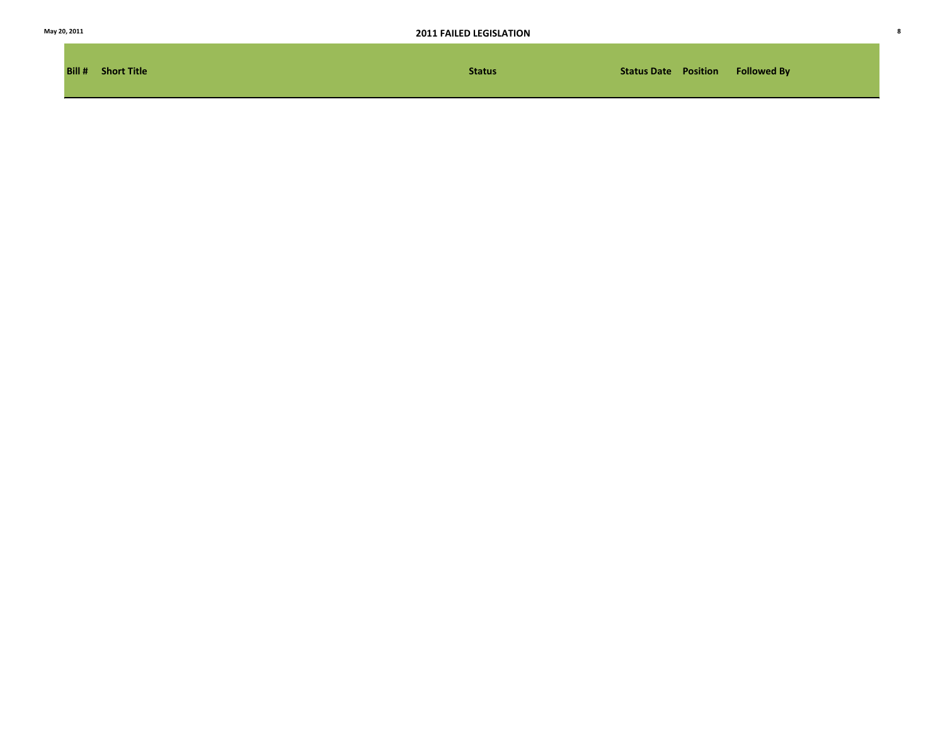|  |  | May 20, 2011 |
|--|--|--------------|
|--|--|--------------|

| <b>Bill # Short Title</b> | <b>Status</b> |  | <b>Status Date Position Followed By</b> |
|---------------------------|---------------|--|-----------------------------------------|
|                           |               |  |                                         |